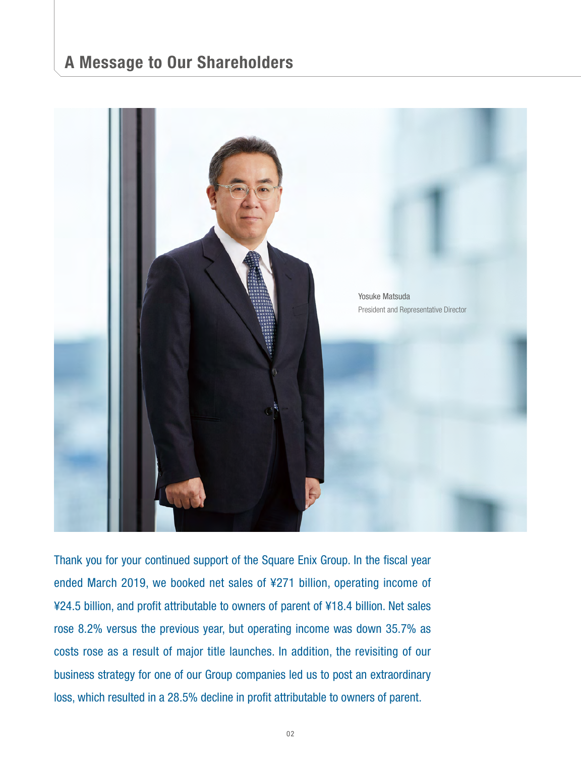# **A Message to Our Shareholders**



Thank you for your continued support of the Square Enix Group. In the fiscal year ended March 2019, we booked net sales of ¥271 billion, operating income of ¥24.5 billion, and profit attributable to owners of parent of ¥18.4 billion. Net sales rose 8.2% versus the previous year, but operating income was down 35.7% as costs rose as a result of major title launches. In addition, the revisiting of our business strategy for one of our Group companies led us to post an extraordinary loss, which resulted in a 28.5% decline in profit attributable to owners of parent.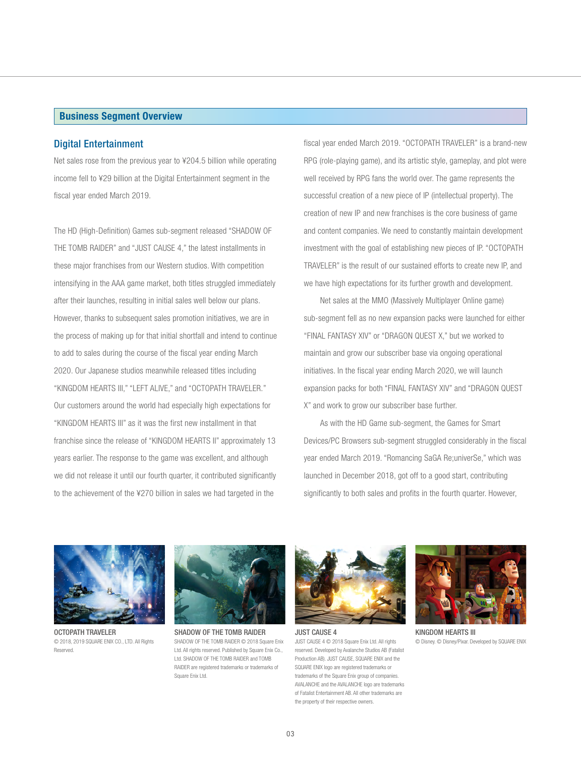#### **Business Segment Overview**

#### Digital Entertainment

Net sales rose from the previous year to ¥204.5 billion while operating income fell to ¥29 billion at the Digital Entertainment segment in the fiscal year ended March 2019.

The HD (High-Definition) Games sub-segment released "SHADOW OF THE TOMB RAIDER" and "JUST CAUSE 4," the latest installments in these major franchises from our Western studios. With competition intensifying in the AAA game market, both titles struggled immediately after their launches, resulting in initial sales well below our plans. However, thanks to subsequent sales promotion initiatives, we are in the process of making up for that initial shortfall and intend to continue to add to sales during the course of the fiscal year ending March 2020. Our Japanese studios meanwhile released titles including "KINGDOM HEARTS III," "LEFT ALIVE," and "OCTOPATH TRAVELER." Our customers around the world had especially high expectations for "KINGDOM HEARTS III" as it was the first new installment in that franchise since the release of "KINGDOM HEARTS II" approximately 13 years earlier. The response to the game was excellent, and although we did not release it until our fourth quarter, it contributed significantly to the achievement of the ¥270 billion in sales we had targeted in the

fiscal year ended March 2019. "OCTOPATH TRAVELER" is a brand-new RPG (role-playing game), and its artistic style, gameplay, and plot were well received by RPG fans the world over. The game represents the successful creation of a new piece of IP (intellectual property). The creation of new IP and new franchises is the core business of game and content companies. We need to constantly maintain development investment with the goal of establishing new pieces of IP. "OCTOPATH TRAVELER" is the result of our sustained efforts to create new IP, and we have high expectations for its further growth and development.

 Net sales at the MMO (Massively Multiplayer Online game) sub-segment fell as no new expansion packs were launched for either "FINAL FANTASY XIV" or "DRAGON QUEST X," but we worked to maintain and grow our subscriber base via ongoing operational initiatives. In the fiscal year ending March 2020, we will launch expansion packs for both "FINAL FANTASY XIV" and "DRAGON QUEST X" and work to grow our subscriber base further.

 As with the HD Game sub-segment, the Games for Smart Devices/PC Browsers sub-segment struggled considerably in the fiscal year ended March 2019. "Romancing SaGA Re;univerSe," which was launched in December 2018, got off to a good start, contributing significantly to both sales and profits in the fourth quarter. However,



OCTOPATH TRAVELER © 2018, 2019 SQUARE ENIX CO., LTD. All Rights **Reserved** 



SHADOW OF THE TOMB RAIDER SHADOW OF THE TOMB RAIDER © 2018 Square Enix Ltd. All rights reserved. Published by Square Enix Co., Ltd. SHADOW OF THE TOMB RAIDER and TOMB RAIDER are registered trademarks or trademarks of Square Enix Ltd.



JUST CAUSE 4 JUST CAUSE 4 © 2018 Square Enix Ltd. All rights reserved. Developed by Avalanche Studios AB (Fatalist Production AB). JUST CAUSE, SQUARE ENIX and the SQUARE ENIX logo are registered trademarks or trademarks of the Square Enix group of companies. AVALANCHE and the AVALANCHE logo are trademarks of Fatalist Entertainment AB. All other trademarks are the property of their respective owners.



KINGDOM HEARTS III © Disney. © Disney/Pixar. Developed by SQUARE ENIX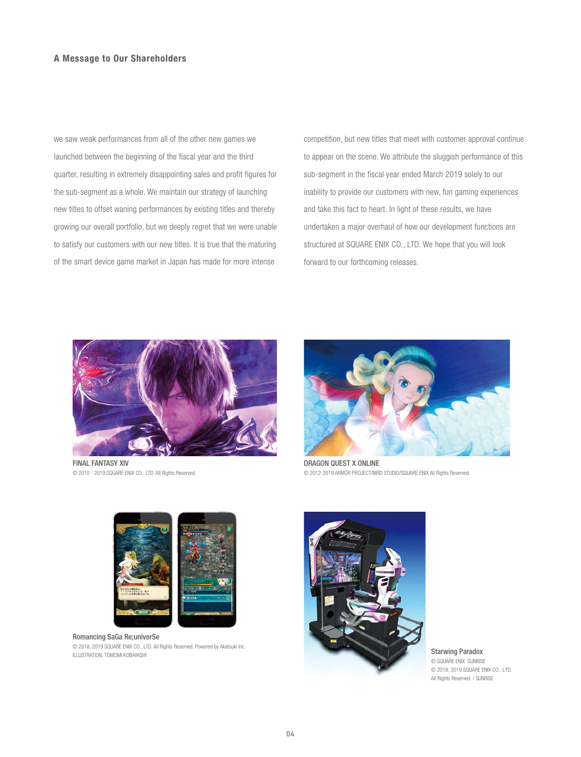we saw weak performances from all of the other new games we launched between the beginning of the fiscal year and the third quarter, resulting in extremely disappointing sales and profit figures for the sub-segment as a whole. We maintain our strategy of launching new titles to offset waning performances by existing titles and thereby growing our overall portfolio, but we deeply regret that we were unable to satisfy our customers with our new titles. It is true that the maturing of the smart device game market in Japan has made for more intense

competition, but new titles that meet with customer approval continue to appear on the scene. We attribute the sluggish performance of this sub-segment in the fiscal year ended March 2019 solely to our inability to provide our customers with new, fun gaming experiences and take this fact to heart. In light of these results, we have undertaken a major overhaul of how our development functions are structured at SQUARE ENIX CO., LTD. We hope that you will look forward to our forthcoming releases.



FINAL FANTASY XIV © 2010 - 2019 SQUARE ENIX CO., LTD. All Rights Reserved.



DRAGON QUEST X ONLINE © 2012-2019 ARMOR PROJECT/BIRD STUDIO/SQUARE ENIX All Rights Reserved.



Romancing SaGa Re;univerSe © 2018, 2019 SQUARE ENIX CO., LTD. All Rights Reserved. Powered by Akatsuki Inc. **EXAMPLE AND RESERVING STARWING PARADOX** CONTROL STATES AND RESERVING STATES OF DESCRIPTION OF DESCRIPTION: TOMOMI KOBAYASHI



© SQUARE ENIX SUNRISE © 2018, 2019 SQUARE ENIX CO., LTD. All Rights Reserved. / SUNRISE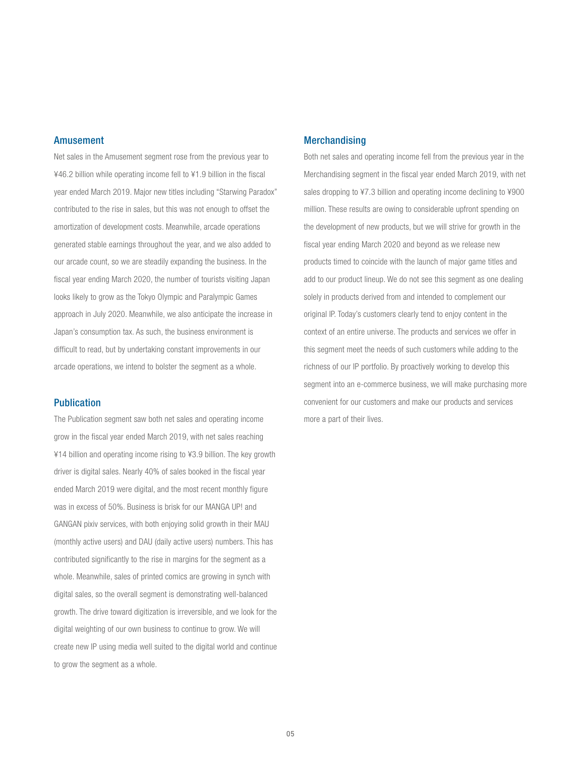### Amusement

Net sales in the Amusement segment rose from the previous year to ¥46.2 billion while operating income fell to ¥1.9 billion in the fiscal year ended March 2019. Major new titles including "Starwing Paradox" contributed to the rise in sales, but this was not enough to offset the amortization of development costs. Meanwhile, arcade operations generated stable earnings throughout the year, and we also added to our arcade count, so we are steadily expanding the business. In the fiscal year ending March 2020, the number of tourists visiting Japan looks likely to grow as the Tokyo Olympic and Paralympic Games approach in July 2020. Meanwhile, we also anticipate the increase in Japan's consumption tax. As such, the business environment is difficult to read, but by undertaking constant improvements in our arcade operations, we intend to bolster the segment as a whole.

# Publication

The Publication segment saw both net sales and operating income grow in the fiscal year ended March 2019, with net sales reaching ¥14 billion and operating income rising to ¥3.9 billion. The key growth driver is digital sales. Nearly 40% of sales booked in the fiscal year ended March 2019 were digital, and the most recent monthly figure was in excess of 50%. Business is brisk for our MANGA UP! and GANGAN pixiv services, with both enjoying solid growth in their MAU (monthly active users) and DAU (daily active users) numbers. This has contributed significantly to the rise in margins for the segment as a whole. Meanwhile, sales of printed comics are growing in synch with digital sales, so the overall segment is demonstrating well-balanced growth. The drive toward digitization is irreversible, and we look for the digital weighting of our own business to continue to grow. We will create new IP using media well suited to the digital world and continue to grow the segment as a whole.

# **Merchandising**

Both net sales and operating income fell from the previous year in the Merchandising segment in the fiscal year ended March 2019, with net sales dropping to ¥7.3 billion and operating income declining to ¥900 million. These results are owing to considerable upfront spending on the development of new products, but we will strive for growth in the fiscal year ending March 2020 and beyond as we release new products timed to coincide with the launch of major game titles and add to our product lineup. We do not see this segment as one dealing solely in products derived from and intended to complement our original IP. Today's customers clearly tend to enjoy content in the context of an entire universe. The products and services we offer in this segment meet the needs of such customers while adding to the richness of our IP portfolio. By proactively working to develop this segment into an e-commerce business, we will make purchasing more convenient for our customers and make our products and services more a part of their lives.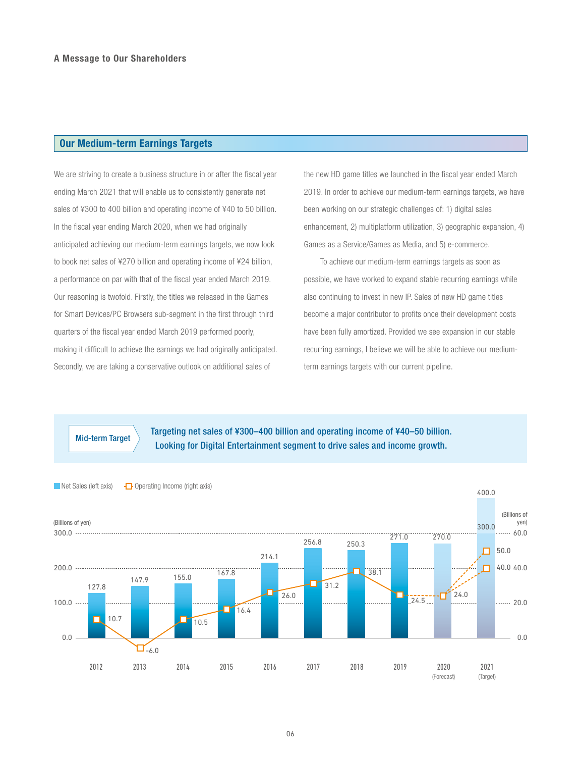## **Our Medium-term Earnings Targets**

We are striving to create a business structure in or after the fiscal year ending March 2021 that will enable us to consistently generate net sales of ¥300 to 400 billion and operating income of ¥40 to 50 billion. In the fiscal year ending March 2020, when we had originally anticipated achieving our medium-term earnings targets, we now look to book net sales of ¥270 billion and operating income of ¥24 billion, a performance on par with that of the fiscal year ended March 2019. Our reasoning is twofold. Firstly, the titles we released in the Games for Smart Devices/PC Browsers sub-segment in the first through third quarters of the fiscal year ended March 2019 performed poorly, making it difficult to achieve the earnings we had originally anticipated. Secondly, we are taking a conservative outlook on additional sales of

the new HD game titles we launched in the fiscal year ended March 2019. In order to achieve our medium-term earnings targets, we have been working on our strategic challenges of: 1) digital sales enhancement, 2) multiplatform utilization, 3) geographic expansion, 4) Games as a Service/Games as Media, and 5) e-commerce.

 To achieve our medium-term earnings targets as soon as possible, we have worked to expand stable recurring earnings while also continuing to invest in new IP. Sales of new HD game titles become a major contributor to profits once their development costs have been fully amortized. Provided we see expansion in our stable recurring earnings, I believe we will be able to achieve our mediumterm earnings targets with our current pipeline.

Targeting net sales of ¥300–400 billion and operating income of ¥40–50 billion. Mid-term Target<br>Looking for Digital Entertainment segment to drive sales and income growth.

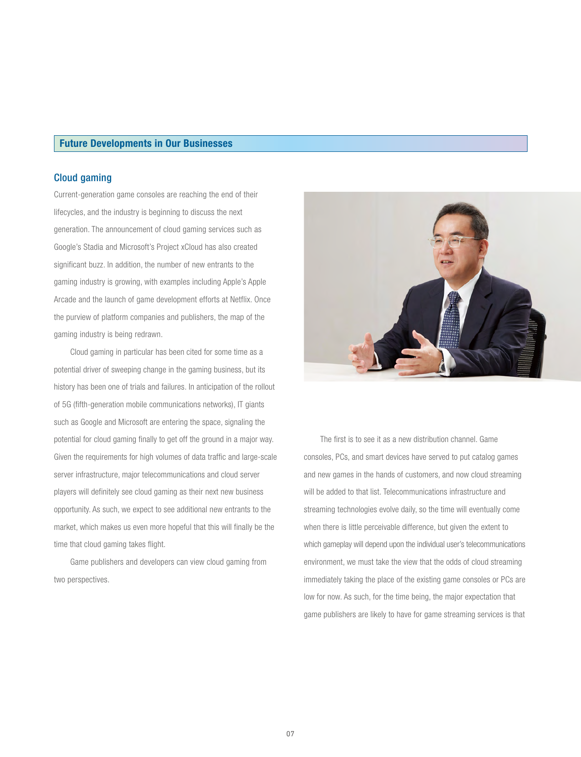#### **Future Developments in Our Businesses**

## Cloud gaming

Current-generation game consoles are reaching the end of their lifecycles, and the industry is beginning to discuss the next generation. The announcement of cloud gaming services such as Google's Stadia and Microsoft's Project xCloud has also created significant buzz. In addition, the number of new entrants to the gaming industry is growing, with examples including Apple's Apple Arcade and the launch of game development efforts at Netflix. Once the purview of platform companies and publishers, the map of the gaming industry is being redrawn.

 Cloud gaming in particular has been cited for some time as a potential driver of sweeping change in the gaming business, but its history has been one of trials and failures. In anticipation of the rollout of 5G (fifth-generation mobile communications networks), IT giants such as Google and Microsoft are entering the space, signaling the potential for cloud gaming finally to get off the ground in a major way. Given the requirements for high volumes of data traffic and large-scale server infrastructure, major telecommunications and cloud server players will definitely see cloud gaming as their next new business opportunity. As such, we expect to see additional new entrants to the market, which makes us even more hopeful that this will finally be the time that cloud gaming takes flight.

 Game publishers and developers can view cloud gaming from two perspectives.



 The first is to see it as a new distribution channel. Game consoles, PCs, and smart devices have served to put catalog games and new games in the hands of customers, and now cloud streaming will be added to that list. Telecommunications infrastructure and streaming technologies evolve daily, so the time will eventually come when there is little perceivable difference, but given the extent to which gameplay will depend upon the individual user's telecommunications environment, we must take the view that the odds of cloud streaming immediately taking the place of the existing game consoles or PCs are low for now. As such, for the time being, the major expectation that game publishers are likely to have for game streaming services is that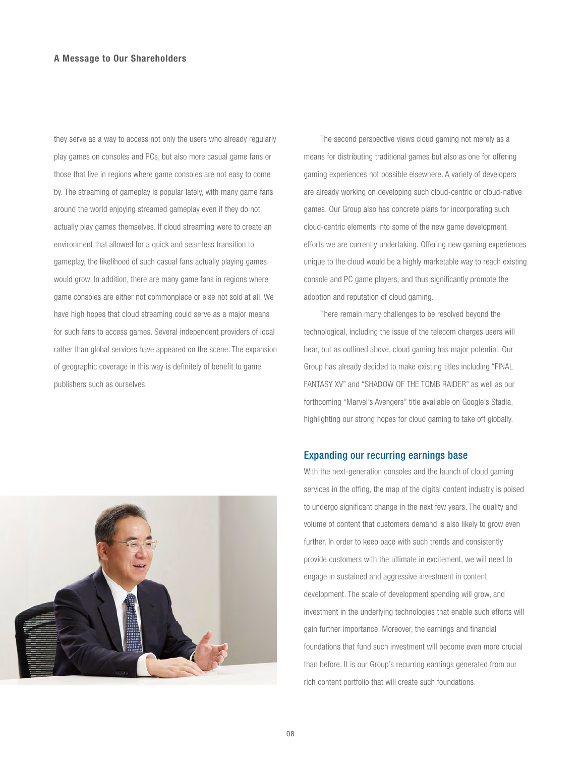they serve as a way to access not only the users who already regularly play games on consoles and PCs, but also more casual game fans or those that live in regions where game consoles are not easy to come by. The streaming of gameplay is popular lately, with many game fans around the world enjoying streamed gameplay even if they do not actually play games themselves. If cloud streaming were to create an environment that allowed for a quick and seamless transition to gameplay, the likelihood of such casual fans actually playing games would grow. In addition, there are many game fans in regions where game consoles are either not commonplace or else not sold at all. We have high hopes that cloud streaming could serve as a major means for such fans to access games. Several independent providers of local rather than global services have appeared on the scene. The expansion of geographic coverage in this way is definitely of benefit to game publishers such as ourselves.

 The second perspective views cloud gaming not merely as a means for distributing traditional games but also as one for offering gaming experiences not possible elsewhere. A variety of developers are already working on developing such cloud-centric or cloud-native games. Our Group also has concrete plans for incorporating such cloud-centric elements into some of the new game development efforts we are currently undertaking. Offering new gaming experiences unique to the cloud would be a highly marketable way to reach existing console and PC game players, and thus significantly promote the adoption and reputation of cloud gaming.

 There remain many challenges to be resolved beyond the technological, including the issue of the telecom charges users will bear, but as outlined above, cloud gaming has major potential. Our Group has already decided to make existing titles including "FINAL FANTASY XV" and "SHADOW OF THE TOMB RAIDER" as well as our forthcoming "Marvel's Avengers" title available on Google's Stadia, highlighting our strong hopes for cloud gaming to take off globally.

# Expanding our recurring earnings base

With the next-generation consoles and the launch of cloud gaming services in the offing, the map of the digital content industry is poised to undergo significant change in the next few years. The quality and volume of content that customers demand is also likely to grow even further. In order to keep pace with such trends and consistently provide customers with the ultimate in excitement, we will need to engage in sustained and aggressive investment in content development. The scale of development spending will grow, and investment in the underlying technologies that enable such efforts will gain further importance. Moreover, the earnings and financial foundations that fund such investment will become even more crucial than before. It is our Group's recurring earnings generated from our rich content portfolio that will create such foundations.